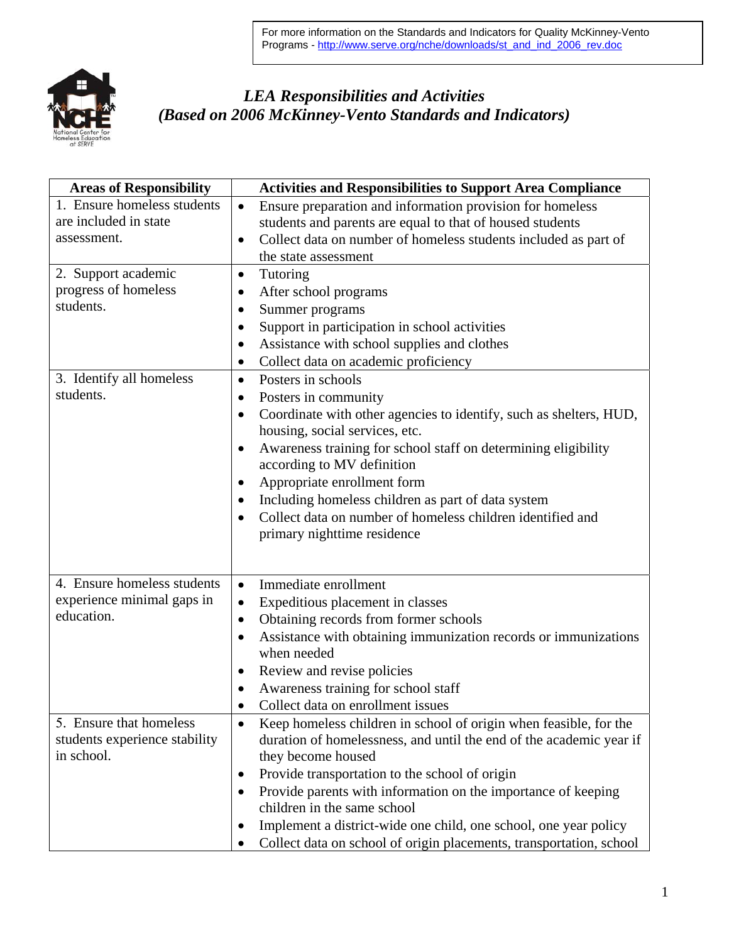

## *LEA Responsibilities and Activities (Based on 2006 McKinney-Vento Standards and Indicators)*

| <b>Areas of Responsibility</b>                                          | <b>Activities and Responsibilities to Support Area Compliance</b>                                                                                                                                                                                                                                                                                                                                                                                                                     |
|-------------------------------------------------------------------------|---------------------------------------------------------------------------------------------------------------------------------------------------------------------------------------------------------------------------------------------------------------------------------------------------------------------------------------------------------------------------------------------------------------------------------------------------------------------------------------|
| 1. Ensure homeless students<br>are included in state<br>assessment.     | Ensure preparation and information provision for homeless<br>$\bullet$<br>students and parents are equal to that of housed students<br>Collect data on number of homeless students included as part of<br>$\bullet$<br>the state assessment                                                                                                                                                                                                                                           |
| 2. Support academic<br>progress of homeless<br>students.                | Tutoring<br>$\bullet$<br>After school programs<br>$\bullet$<br>Summer programs<br>$\bullet$<br>Support in participation in school activities<br>$\bullet$<br>Assistance with school supplies and clothes<br>٠<br>Collect data on academic proficiency<br>$\bullet$                                                                                                                                                                                                                    |
| 3. Identify all homeless<br>students.                                   | Posters in schools<br>$\bullet$<br>Posters in community<br>$\bullet$<br>Coordinate with other agencies to identify, such as shelters, HUD,<br>٠<br>housing, social services, etc.<br>Awareness training for school staff on determining eligibility<br>٠<br>according to MV definition<br>Appropriate enrollment form<br>$\bullet$<br>Including homeless children as part of data system<br>Collect data on number of homeless children identified and<br>primary nighttime residence |
| 4. Ensure homeless students<br>experience minimal gaps in<br>education. | Immediate enrollment<br>$\bullet$<br>Expeditious placement in classes<br>٠<br>Obtaining records from former schools<br>$\bullet$<br>Assistance with obtaining immunization records or immunizations<br>when needed<br>Review and revise policies<br>Awareness training for school staff<br>Collect data on enrollment issues                                                                                                                                                          |
| 5. Ensure that homeless<br>students experience stability<br>in school.  | Keep homeless children in school of origin when feasible, for the<br>$\bullet$<br>duration of homelessness, and until the end of the academic year if<br>they become housed<br>Provide transportation to the school of origin<br>٠<br>Provide parents with information on the importance of keeping<br>children in the same school<br>Implement a district-wide one child, one school, one year policy<br>٠<br>Collect data on school of origin placements, transportation, school    |